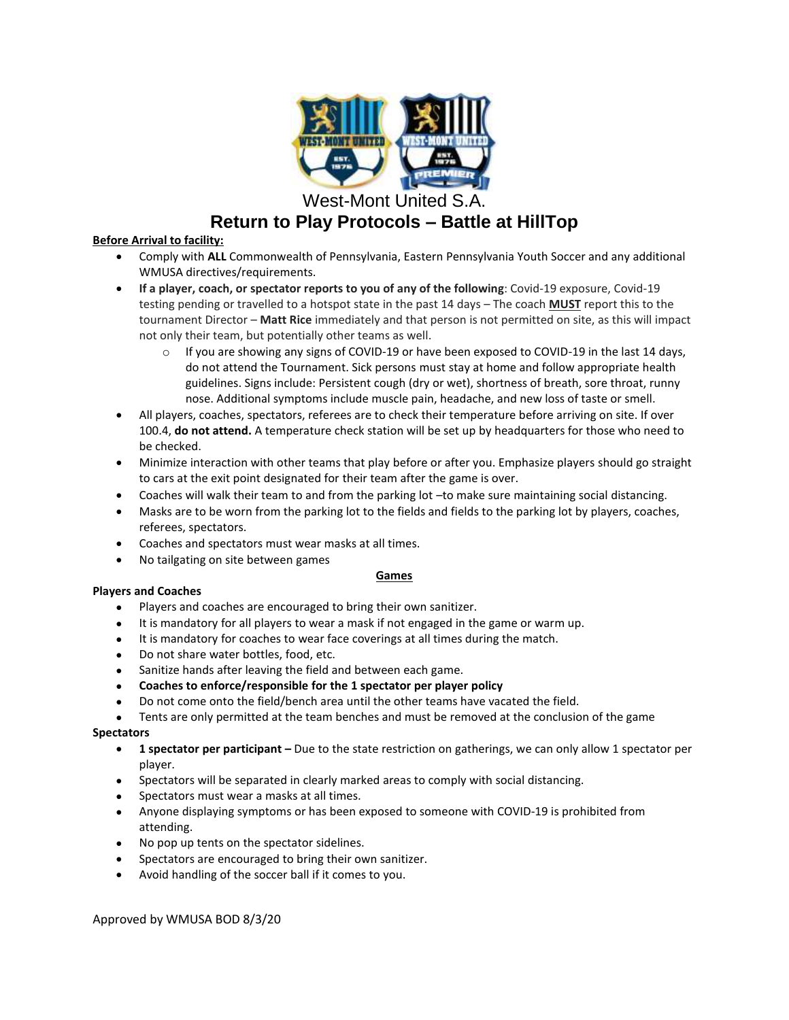

West-Mont United S.A.

# **Return to Play Protocols – Battle at HillTop**

# **Before Arrival to facility:**

- Comply with **ALL** Commonwealth of Pennsylvania, Eastern Pennsylvania Youth Soccer and any additional WMUSA directives/requirements.
- **If a player, coach, or spectator reports to you of any of the following**: Covid-19 exposure, Covid-19 testing pending or travelled to a hotspot state in the past 14 days – The coach **MUST** report this to the tournament Director – **Matt Rice** immediately and that person is not permitted on site, as this will impact not only their team, but potentially other teams as well.
	- $\circ$  If you are showing any signs of COVID-19 or have been exposed to COVID-19 in the last 14 days, do not attend the Tournament. Sick persons must stay at home and follow appropriate health guidelines. Signs include: Persistent cough (dry or wet), shortness of breath, sore throat, runny nose. Additional symptoms include muscle pain, headache, and new loss of taste or smell.
- All players, coaches, spectators, referees are to check their temperature before arriving on site. If over 100.4, **do not attend.** A temperature check station will be set up by headquarters for those who need to be checked.
- Minimize interaction with other teams that play before or after you. Emphasize players should go straight to cars at the exit point designated for their team after the game is over.
- Coaches will walk their team to and from the parking lot –to make sure maintaining social distancing.
- Masks are to be worn from the parking lot to the fields and fields to the parking lot by players, coaches, referees, spectators.
- Coaches and spectators must wear masks at all times.
- No tailgating on site between games

# **Games**

# **Players and Coaches**

- Players and coaches are encouraged to bring their own sanitizer.
- It is mandatory for all players to wear a mask if not engaged in the game or warm up.
- It is mandatory for coaches to wear face coverings at all times during the match.
- Do not share water bottles, food, etc.
- Sanitize hands after leaving the field and between each game.
- **Coaches to enforce/responsible for the 1 spectator per player policy**
- Do not come onto the field/bench area until the other teams have vacated the field.
- Tents are only permitted at the team benches and must be removed at the conclusion of the game

# **Spectators**

- **1 spectator per participant –** Due to the state restriction on gatherings, we can only allow 1 spectator per player.
- Spectators will be separated in clearly marked areas to comply with social distancing.
- Spectators must wear a masks at all times.
- Anyone displaying symptoms or has been exposed to someone with COVID-19 is prohibited from attending.
- No pop up tents on the spectator sidelines.
- Spectators are encouraged to bring their own sanitizer.
- Avoid handling of the soccer ball if it comes to you.

Approved by WMUSA BOD 8/3/20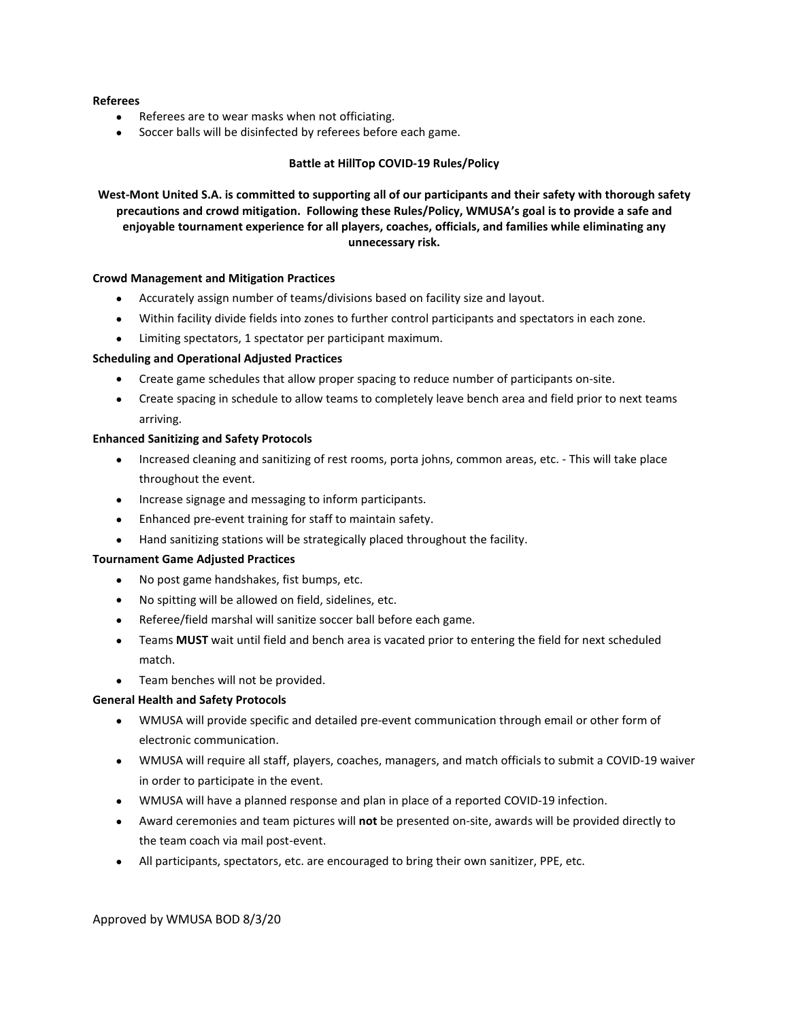## **Referees**

- Referees are to wear masks when not officiating.
- Soccer balls will be disinfected by referees before each game.

## **Battle at HillTop COVID-19 Rules/Policy**

West-Mont United S.A. is committed to supporting all of our participants and their safety with thorough safety **precautions and crowd mitigation. Following these Rules/Policy, WMUSA's goal is to provide a safe and enjoyable tournament experience for all players, coaches, officials, and families while eliminating any unnecessary risk.**

#### **Crowd Management and Mitigation Practices**

- Accurately assign number of teams/divisions based on facility size and layout.
- Within facility divide fields into zones to further control participants and spectators in each zone.
- Limiting spectators, 1 spectator per participant maximum.

## **Scheduling and Operational Adjusted Practices**

- Create game schedules that allow proper spacing to reduce number of participants on-site.
- Create spacing in schedule to allow teams to completely leave bench area and field prior to next teams arriving.

## **Enhanced Sanitizing and Safety Protocols**

- Increased cleaning and sanitizing of rest rooms, porta johns, common areas, etc. This will take place throughout the event.
- Increase signage and messaging to inform participants.
- Enhanced pre-event training for staff to maintain safety.
- Hand sanitizing stations will be strategically placed throughout the facility.

## **Tournament Game Adjusted Practices**

- No post game handshakes, fist bumps, etc.
- No spitting will be allowed on field, sidelines, etc.
- Referee/field marshal will sanitize soccer ball before each game.
- Teams **MUST** wait until field and bench area is vacated prior to entering the field for next scheduled match.
- Team benches will not be provided.

## **General Health and Safety Protocols**

- WMUSA will provide specific and detailed pre-event communication through email or other form of electronic communication.
- WMUSA will require all staff, players, coaches, managers, and match officials to submit a COVID-19 waiver in order to participate in the event.
- WMUSA will have a planned response and plan in place of a reported COVID-19 infection.
- Award ceremonies and team pictures will **not** be presented on-site, awards will be provided directly to the team coach via mail post-event.
- All participants, spectators, etc. are encouraged to bring their own sanitizer, PPE, etc.

Approved by WMUSA BOD 8/3/20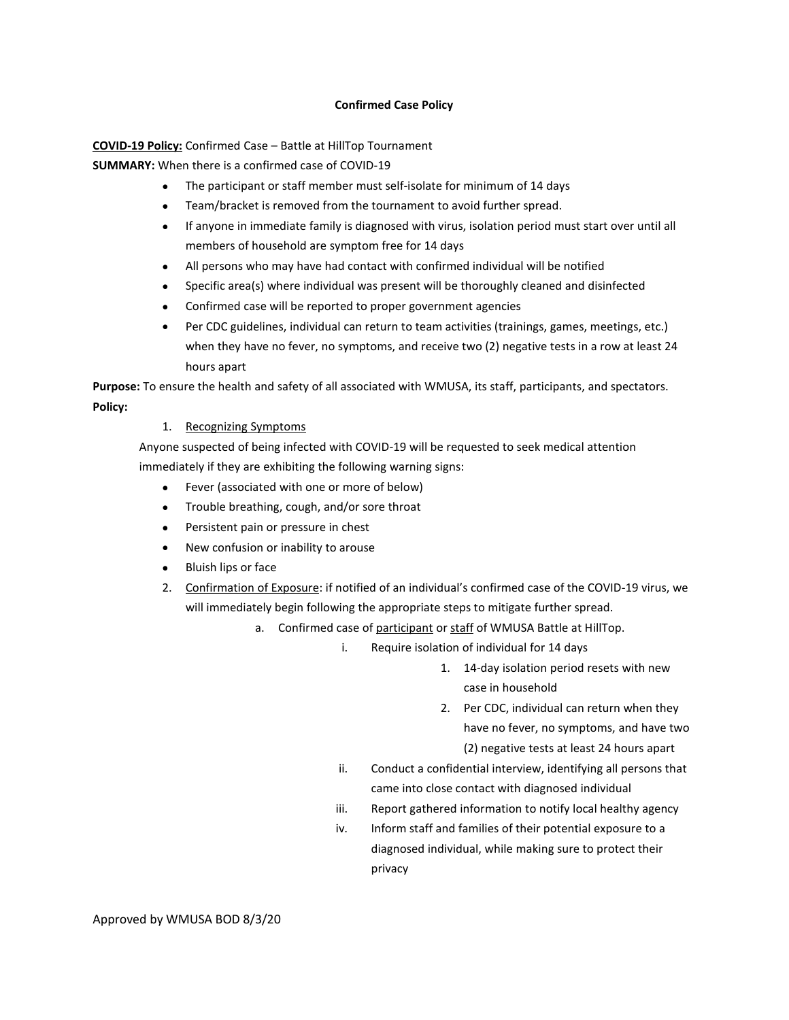## **Confirmed Case Policy**

**COVID-19 Policy:** Confirmed Case – Battle at HillTop Tournament

**SUMMARY:** When there is a confirmed case of COVID-19

- The participant or staff member must self-isolate for minimum of 14 days
- Team/bracket is removed from the tournament to avoid further spread.
- If anyone in immediate family is diagnosed with virus, isolation period must start over until all members of household are symptom free for 14 days
- All persons who may have had contact with confirmed individual will be notified
- Specific area(s) where individual was present will be thoroughly cleaned and disinfected
- Confirmed case will be reported to proper government agencies
- Per CDC guidelines, individual can return to team activities (trainings, games, meetings, etc.) when they have no fever, no symptoms, and receive two (2) negative tests in a row at least 24 hours apart

**Purpose:** To ensure the health and safety of all associated with WMUSA, its staff, participants, and spectators. **Policy:**

1. Recognizing Symptoms

Anyone suspected of being infected with COVID-19 will be requested to seek medical attention immediately if they are exhibiting the following warning signs:

- Fever (associated with one or more of below)
- Trouble breathing, cough, and/or sore throat
- **•** Persistent pain or pressure in chest
- New confusion or inability to arouse
- Bluish lips or face
- 2. Confirmation of Exposure: if notified of an individual's confirmed case of the COVID-19 virus, we will immediately begin following the appropriate steps to mitigate further spread.
	- a. Confirmed case of participant or staff of WMUSA Battle at HillTop.
		- i. Require isolation of individual for 14 days
			- 1. 14-day isolation period resets with new case in household
			- 2. Per CDC, individual can return when they have no fever, no symptoms, and have two (2) negative tests at least 24 hours apart
		- ii. Conduct a confidential interview, identifying all persons that came into close contact with diagnosed individual
		- iii. Report gathered information to notify local healthy agency
		- iv. Inform staff and families of their potential exposure to a diagnosed individual, while making sure to protect their privacy